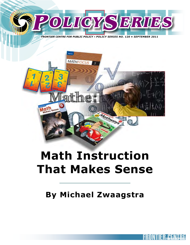

*FRONTIER CENTRE FOR PUBLIC POLICY • POLICY SERIES NO. 120 • SEPTEMBER 2011*



# **Math Instruction That Makes Sense**

## **By Michael Zwaagstra**

**MATH INSTRUCTION THAT MAKES SENSEE OF A CONTROL CONTROL**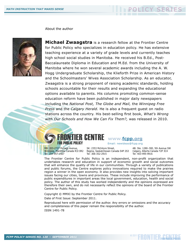

About the author



**Michael Zwaagstra** is a research fellow at the Frontier Centre for Public Policy who specializes in education policy. He has extensive teaching experience at a variety of grade levels and currently teaches high school social studies in Manitoba. He received his B.Ed., Post-Baccalaureate Diploma in Education and M.Ed. from the University of Manitoba where he won several academic awards including the A. W. Hogg Undergraduate Scholarship, the Klieforth Prize in American History and the Schoolmasters' Wives Association Scholarship. As an educator, Zwaagstra is a strong proponent of raising academic standards, holding schools accountable for their results and expanding the educational options available to parents. His columns promoting common-sense education reform have been published in major daily newspapers including the *National Post, The Globe and Mail,* the *Winnipeg Free Press* and the *Calgary Herald.* He is also a frequent guest on radio stations across the country. His best-selling first book, *What's Wrong with Our Schools and How We Can Fix Them?,* was released in 2010.

#### FRONTIER CENTRE **www.fcpp.org** FOR PUBLIC POLICY

MB: 203-2727 Portage Avenue, Winnipeg, Manitoba Canada R3J 0R2 Tel: 204-957-1567

SK: 2353 McIntyre Street, Regina, Saskatchewan Canada S4P 2S3 Tel: 306-352-2915

Email: newideas@fcpp.org

AB: Ste. 1280–300, 5th Avenue SW Calgary, Alberta Canada T2P 3C4 Tel: 403-995-9916

The Frontier Centre for Public Policy is an independent, non-profit organization that undertakes research and education in support of economic growth and social outcomes that will enhance the quality of life in our communities. Through a variety of publications and public forums, the Centre explores policy innovations required to make the prairies region a winner in the open economy. It also provides new insights into solving important issues facing our cities, towns and provinces. These include improving the performance of public expenditures in important areas like local government, education, health and social policy. The author of this study has worked independently and the opinions expressed are therefore their own, and do not necessarily reflect the opinions of the board of the Frontier Centre for Public Policy.

Copyright © MMXI by the Frontier Centre for Public Policy.

Date of First Issue: September 2011.

Reproduced here with permission of the author. Any errors or omissions and the accuracy and completeness of this paper remain the responsibility of the author. ISSN 1491-78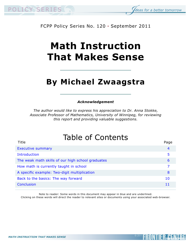



#### FCPP Policy Series No. 120 • September 2011

# **Math Instruction That Makes Sense**

## **By Michael Zwaagstra**

#### *Acknowledgement*

*The author would like to express his appreciation to Dr. Anna Stokke, Associate Professor of Mathematics, University of Winnipeg, for reviewing this report and providing valuable suggestions.*

## Table of Contents

| Title                                             | Page |
|---------------------------------------------------|------|
| <b>Executive summary</b>                          | 4    |
| Introduction                                      | 5    |
| The weak math skills of our high school graduates | 6    |
| How math is currently taught in school            |      |
| A specific example: Two-digit multiplication      | 8    |
| Back to the basics: The way forward               | 10   |
| Conclusion                                        |      |
|                                                   |      |

Note to reader: Some words in this document may appear in blue and are underlined.

Clicking on these words will direct the reader to relevant sites or documents using your associated web-browser.

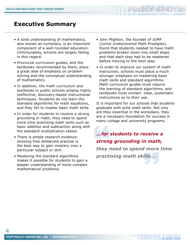### <span id="page-3-0"></span>**Executive Summary**

- A solid understanding of mathematics, also known as numeracy, is an important component of a well-rounded education. Unfortunately, schools are largely failing in this regard.
- Provincial curriculum guides, and the textbooks recommended by them, place a great deal of emphasis on problem solving and the conceptual understanding of mathematics.
- In addition, the math curriculum and textbooks in public schools employ highly ineffective, discovery-based instructional techniques. Students do not learn the standard algorithms for math equations, and they fail to master basic math skills.
- In order for students to receive a strong grounding in math, they need to spend more time practising math skills such as basic addition and subtraction along with the standard multiplication tables.
- There is ample research evidence showing that deliberate practise is the best way to gain mastery over a particular subject or skill.
- Mastering the standard algorithms makes it possible for students to gain a deeper understanding of more-complex mathematical problems.
- John Mighton, the founder of JUMP (Junior Undiscovered Math Prodigies), found that students needed to have math problems broken down into small steps and that each step had to be mastered before moving to the next step.
- In order to improve our system of math instruction, schools must place a much stronger emphasis on mastering basic math skills and standard algorithms. Math curriculum guides must require the learning of standard algorithms, and textbooks must contain clear, systematic instructions as to their use.

It is important for our schools that students graduate with solid math skills. Not only are they essential in the workplace, they are a necessary foundation for success in many college and university programs.

mer strong<br>strong<br>they n<br>practi dills...<br>Exemple and the set of the set of the set of the set of the set of the set of the set of the set of the set of<br>Allen set of the set of the set of the set of the set of the set of the set of the set of the set of t *...for students to receive a strong grounding in math, they need to spend more time practising math skills...*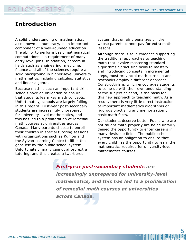### <span id="page-4-0"></span>**Introduction**

A solid understanding of mathematics, also known as numeracy, is an important component of a well-rounded education. The ability to perform basic mathematical computations is a requirement of many entry-level jobs. In addition, careers in fields such as engineering, medicine, finance and all of the sciences require a solid background in higher-level university mathematics, including calculus, statistics and linear algebra.

Because math is such an important skill, schools have an obligation to ensure that students learn key math concepts. Unfortunately, schools are largely failing in this regard. First-year post-secondary students are increasingly unprepared for university-level mathematics, and this has led to a proliferation of remedial math courses at universities across Canada. Many parents choose to enroll their children in special tutoring sessions with organizations such as Kumon and the Sylvan Learning Centre to fill in the gaps left by the public school system. Unfortunately, many cannot afford extra tutoring, and this creates a two-tiered

system that unfairly penalizes children whose parents cannot pay for extra math lessons.

Although there is solid evidence supporting the traditional approaches to teaching math that involve mastering standard algorithms, $<sup>1</sup>$  practising skills to mastery</sup> and introducing concepts in incremental steps, most provincial math curricula and textbooks employ a different approach. Constructivism, which encourages students to come up with their own understanding of the subject at hand, is the basis for this new approach to teaching math. As a result, there is very little direct instruction of important mathematics algorithms or rigorous practising and memorization of basic math facts.

Our students deserve better. Pupils who are not taught math properly are being unfairly denied the opportunity to enter careers in many desirable fields. The public school system has an obligation to ensure that every child has the opportunity to learn the mathematics required for university-level mathematics courses.

First-<br>
increa<br>
matho<br>
of ren<br>
acros ada.<br>Altara *First-year post-secondary students are increasingly unprepared for university-level mathematics, and this has led to a proliferation of remedial math courses at universities across Canada.* 

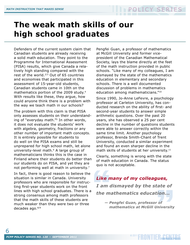## <span id="page-5-0"></span>**The weak math skills of our high school graduates**

Defenders of the current system claim that Canadian students are already receiving a solid math education. They point to the Programme for International Assessment (PISA) results, which give Canada a relatively high standing compared with the rest of the world. $2/3$  Out of 65 countries and economies that participated in this assessment of 15-year-old students, Canadian students came in 10th on the mathematics portion of the 2009 study.4 With results like these, they argue, how could anyone think there is a problem with the way we teach math in our schools?

The problem with this claim is that PISA only assesses students on their understanding of "everyday math."5 In other words, it does not evaluate the students' work with algebra, geometry, fractions or any other number of important math concepts. It is entirely possible for students to do well on the PISA exams and still be unprepared for high school math, let alone university-level math.6 A large group of mathematicians thinks this is the case in Finland where their students do better than our students do on PISA, and yet they are not performing well at math in university.<sup>7</sup>

In fact, there is good reason to believe the situation is similar in Canada. University professors who are responsible for instructing first-year students work on the front lines with high school graduates. There is a strong consensus among math professors that the math skills of these students are much weaker than they were two or three decades ago.8/9

Pengfei Guan, a professor of mathematics at McGill University and former vicepresident of the Canadian Mathematical Society, lays the blame directly at the feet of the math instruction provided in public schools. "Like many of my colleagues, I am dismayed by the state of the mathematics education in elementary and secondary schools. There is a well documented discussion of problems in mathematics education among mathematicians."10

Since 1990, Jo-Anne LeFevre, a psychology professor at Carleton University, has conducted research on the ability of first- and second-year students to answer simple arithmetic questions. Over the past 20 years, she has observed a 25 per cent decline in the number of questions students were able to answer correctly within the same time limit. Another psychology professor, Brenda Smith-Chant of Trent University, conducted a similar experiment and found an even sharper decline in the math skills of students at her university.<sup>11</sup>

Clearly, something is wrong with the state of math education in Canada. The status quo is not acceptable.

Like n<br>
I am d<br>
the m<br>  $-\frac{p}{n}$ *Like many of my colleagues, I am dismayed by the state of the mathematics education...*

" *— Pengfei Guan, professor of — mathematics at McGill University*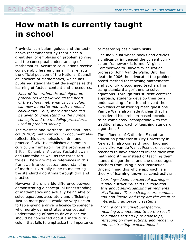## <span id="page-6-0"></span>**How math is currently taught in school**

Provincial curriculum guides and the textbooks recommended by them place a great deal of emphasis on problem solving and the conceptual understanding of mathematics. Accurate calculations receive considerably less emphasis. This reflects the official position of the National Council of Teachers of Mathematics, which has published standards that de-emphasize the learning of factual content and procedures.

*Most of the arithmetic and algebraic procedures long viewed as the heart of the school mathematics curriculum can now be performed with handheld calculators. Thus, more attention can be given to understanding the number concepts and the modeling procedures used in problem solving.*<sup>12</sup>

The Western and Northern Canadian Protocol (WNCP) math curriculum document also reflects this de-emphasis on drill and practice.13 WNCP establishes a common curriculum framework for the provinces of British Columbia, Alberta, Saskatchewan and Manitoba as well as the three territories. There are many references in this framework to conceptual understanding of math but virtually none to mastering the standard algorithms through drill and practice.

However, there is a big difference between demonstrating a conceptual understanding of mathematics and actually being able to solve equations accurately and efficiently. Just as most people would be very uncomfortable giving a driver's licence to someone who merely demonstrates a conceptual understanding of how to drive a car, we should be concerned about a math curriculum that fails to emphasize the importance of mastering basic math skills.

One individual whose books and articles significantly influenced the current curriculum framework is former Virginia Commonwealth University education professor John Van de Walle. Until his death in 2006, he advocated the problembased method for teaching mathematics and strongly discouraged teachers from using standard algorithms to solve equations. Through this student-centered approach, students develop their own understanding of math and invent their own ways of answering math questions. Van de Walle also made it clear that he considered his problem-based technique to be completely incompatible with the traditional approach of teaching standard algorithms.<sup>14</sup>

The influence of Catherine Fosnot, an education professor at City University in New York, also comes through loud and clear. Like Van de Walle, Fosnot encourages teachers to have students invent their own math algorithms instead of teaching them standard algorithms, and she discourages teachers from using direct instruction. Underpinning this whole approach is a theory of learning known as constructivism.

*Learning—deep, conceptual learning is about structural shifts in cognition. It is about self-organizing at moments of criticality. These changes are complex and non-linear, and they are the result of interacting autopoietic systems.* 

*From a constructivist perspective, meaning is understood to be the result of humans setting up relationships, reflecting on their actions, and modeling and constructing explanations.*15

7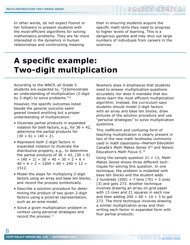<span id="page-7-0"></span>In other words, do not expect Fosnot or her followers to present students with the most-efficient algorithms for solving mathematics problems. They are far more interested in the dynamics in human relationships and constructing meaning

than in ensuring students acquire the specific math skills they need to progress to higher levels of learning. This is a dangerous gamble and may shut out large numbers of individuals from careers in the sciences.

## **A specific example: Two-digit multiplication**

According to the WNCP, all Grade 5 students are expected to, "[d]emonstrate an understanding of multiplication (2-digit by 2-digit) to solve problems."16

However, the specific outcomes listed beside the general outcome seem geared toward anything but a proper understanding of multiplication.

- Illustrate partial products in expanded notation for both factors, e.g., for  $36 \times 42$ , determine the partial products for  $(30 + 6) \times (40 + 2)$ .
- Represent both 2-digit factors in expanded notation to illustrate the distributive property, e.g., to determine the partial products of  $36 \times 42$ , (30 + 6)  $\times$  (40 + 2) = 30  $\times$  40 + 30  $\times$  2 + 6  $\times$  $40 + 6 \times 2 = 1200 + 60 + 240 + 12 =$ 1512.
- Model the steps for multiplying 2-digit factors using an array and base ten blocks, and record the process symbolically.
- Describe a solution procedure for determining the product of two given 2-digit factors using a pictorial representation, such as an area model.
- Solve a given multiplication problem in context using personal strategies and record the process.<sup>17</sup>

Nowhere does it emphasize that students need to answer multiplication questions accurately nor does it mandate that students learn the most efficient multiplication algorithm. Instead, the curriculum says students should model 2-digit factors with an array and base ten blocks, draw pictures of the solution procedure and use "personal strategies" to solve multiplication questions.

This inefficient and confusing form of teaching multiplication is clearly present in two of the new math textbooks commonly used in math classrooms—Pearson Education Canada's *Math Makes Sense 5*18 and Nelson Education's *Math Focus 5*.19

Using the sample question 21 × 13, *Math Makes Sense* shows three different techniques for solving this question. In one technique, the problem is modelled with base ten blocks and the student adds 2 hundreds (200) + 7 tens (70) + 3 ones (3) and gets 273. Another technique involves drawing an array on grid paper with 13 rows and 21 squares in each row and then adding  $200 + 60 + 10 + 3$  to get 273. The third technique involves drawing a similar multiplication array and then writing each factor in expanded form with four partial products:

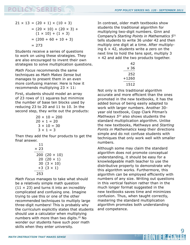$$
21 \times 13 = (20 + 1) \times (10 + 3)
$$
  
= (20 × 10) + (20 × 3) +  
(1 × 10) + (1 × 3)  
= (200 + 60 + 10 + 3)  
= 273

Students receive a series of questions to work on using these strategies. They are also encouraged to invent their own strategies to solve multiplication questions.

*Math Focus* recommends the same techniques as *Math Makes Sense* but manages to present them in an even more confusing manner. Here is how it recommends multiplying  $23 \times 11$ :

First, students should model an array of 23 rows of 11 squares but minimize the number of base ten blocks used by reducing 23 to 20 and 11 to 10. In the second step, they write out the products:

$$
20 \times 10 = 200
$$
  
20 \times 1 = 20  
3 \times 10 = 30  
3 \times 1 = 3

Then they add the four products to get the final answer.

$$
\begin{array}{c}\n11 \\
\times 23 \\
\hline\n200 (20 \times 10) \\
20 (20 \times 1) \\
30 (3 \times 10) \\
+3 (3 \times 1) \\
\hline\n253\n\end{array}
$$

*Math Focus* manages to take what should be a relatively simple math question  $(11 \times 23)$  and turns it into an incredibly complicated and confusing one. Imagine trying to use this or one of the other recommended techniques to multiply large three-digit numbers! This is probably why the curriculum explicitly states that students should use a calculator when multiplying numbers with more than two digits.20 No wonder our students have such poor math skills when they enter university.

In contrast, older math textbooks show students the traditional algorithm for multiplying two-digit numbers. Ginn and Company's *Starting Points in Mathematics 5*21 tells students to write 36 under 42 and then multiply one digit at a time. After multiplying  $6 \times 42$ , students write a zero on the next line to hold the tens spot, multiply 3 × 42 and add the two products together.

| 47    |
|-------|
| x 36  |
| 252   |
| +1260 |
| 1512  |

Not only is this traditional algorithm accurate and more efficient than the ones promoted in the new textbooks, it has the added bonus of being easily adapted to work with larger numbers. Another 30 year old textbook, Copp Clark Pitman's *Mathways 5*22 also shows students the standard multiplication algorithm. Unlike the new textbooks, *Mathways* and *Starting Points in Mathematics* keep their directions simple and do not confuse students with techniques that only work well with smaller numbers.

Although some may claim the standard algorithm does not promote conceptual understanding, it should be easy for a knowledgeable math teacher to use the distributive property to demonstrate why this algorithm works. Furthermore, this algorithm can be employed efficiently with numbers of any size. Writing out questions in this vertical fashion rather than in the much longer format suggested in the new textbooks saves time and minimizes confusion. Thus, when taught correctly, mastering the standard multiplication algorithm promotes both understanding and competence.

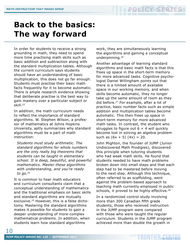## <span id="page-9-0"></span>**Back to the basics: The way forward**

In order for students to receive a strong grounding in math, they need to spend more time practising math skills such as basic addition and subtraction along with the standard multiplication tables. Although the current curriculum says students should have an understanding of basic multiplication, this does not go far enough. Students must practise their basic math facts frequently for it to become automatic. There is ample research evidence showing that deliberate practise is the best way to gain mastery over a particular subject or skill.23

In addition, the math curriculum needs to reflect the importance of standard algorithms. W. Stephen Wilson, a professor of mathematics at Johns Hopkins University, aptly summarizes why standard algorithms must be a part of math instruction:

*Students must study arithmetic. The standard algorithms for whole numbers are the only really big theorems that students can be taught in elementary school. It is deep, beautiful, and powerful mathematics. Master these algorithms with understanding, and you're ready to go.24*

It is common to hear math educators and curriculum consultants claim that a conceptual understanding of mathematics and the traditional emphasis on basic skills and standard algorithms are mutually exclusive.25 However, this is a false dichotomy. Mastering the standard algorithms makes it possible for students to gain a deeper understanding of more-complex mathematical problems. In addition, when students learn how standard algorithms

work, they are simultaneously learning the algorithms and gaining a conceptual underpinning.26

Another advantage of learning standard algorithms and basic math facts is that this frees up space in the short-term memory for more advanced tasks. Cognitive psychologist Daniel Willingham points out that there is a limited amount of available space in our working memory, and when skills become automatic, they no longer take up the same amount of room as they did before.<sup>27</sup> For example, after a lot of practice, basic number facts such as simple addition and multiplication tables become automatic. This then frees up space in short-term memory for more advanced math tasks. In contrast, the student who struggles to figure out  $6 \times 4$  will quickly become lost in solving an algebra problem such as  $(6x + 5)$   $(4x) = 20$ .

John Mighton, the founder of JUMP (Junior Undiscovered Math Prodigies), discovered this principle when tutoring students who had weak math skills. He found that students needed to have math problems broken down into small steps and that each step had to be mastered before moving to the next step. Although this technique, often referred to as scaffolding, went against the problem-based approach to teaching math currently employed in public schools, it proved to be highly effective.<sup>28</sup>

In a randomized control study involving more than 300 Canadian fifth grade students, those who received instruction in the JUMP program were compared with those who were taught the regular curriculum. Students in the JUMP program achieved more than double the growth in

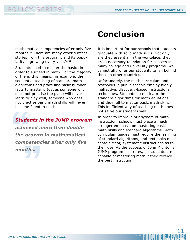### <span id="page-10-0"></span>**PERIES FCPP POLICY SERIES NO. 120 • SEPTEMBER 2011**

mathematical competencies after only five months.29 There are many other success stories from this program, and its popularity is growing every year. 30/31

Students need to master the basics in order to succeed in math. For the majority of them, this means, for example, the sequential teaching of standard math algorithms and practising basic number facts to mastery. Just as someone who does not practise the piano will never learn to play well, someone who does not practise basic math skills will never become fluent in math.

#### *Students in the JUMP program*

**Stude**<br>achiev<br>the gr<br>compe<br>month nths.<br>" *achieved more than double the growth in mathematical competencies after only five months.*

### **Conclusion**

It is important for our schools that students graduate with solid math skills. Not only are they essential in the workplace, they are a necessary foundation for success in many college and university programs. We cannot afford for our students to fall behind those in other countries.

Unfortunately, the math curriculum and textbooks in public schools employ highly ineffective, discovery-based instructional techniques. Students do not learn the standard algorithms for math equations, and they fail to master basic math skills. This inefficient way of teaching math does not serve our students well.

In order to improve our system of math instruction, schools must place a much stronger emphasis on mastering basic math skills and standard algorithms. Math curriculum guides must require the learning of standard algorithms, and textbooks must contain clear, systematic instructions as to their use. As the success of John Mighton's JUMP program illustrates, all students are capable of mastering math if they receive the best instruction.

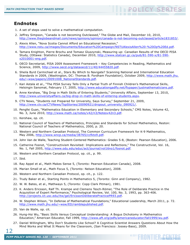#### **Endnotes**

- 1. A set of steps used to solve a mathematical computation.
- 2. Jeffrey Simpson, "Canada is not becoming Outclassed," The Globe and Mail, December 10, 2010, [http://www.theglobeandmail.com/news/opinions/opinion/canada-is-not-becoming-outclassed/article1831853/.](http://www.theglobeandmail.com/news/opinions/opinion/canada-is-not-becoming-outclassed/article1831853/)
- 3. Alexis Allen, "Nova Scotia Cannot Afford an Educational Recession," [http://www.nstu.ca/images/Documents/Education%20Campaign/NSTUAlexisAllen%20-%20Op%20Ed.pdf.](http://www.nstu.ca/images/Documents/Education%20Campaign/NSTUAlexisAllen%20-%20Op%20Ed.pdf)
- 4. Tamara Knighton, Pierre Brochu and Tomasz Gluszynski, Measuring up: Canadian Results of the OECD PISA Study, (Ottawa: Statistics Canada), December 2010, [http://www.statcan.gc.ca/pub/81-590-x/81-590](http://www.statcan.gc.ca/pub/81-590-x/81-590-x2010001-eng.pdf) [x2010001-eng.pdf.](http://www.statcan.gc.ca/pub/81-590-x/81-590-x2010001-eng.pdf)
- 5. OECD Secretariat, PISA 2009 Assessment Framework Key Competencies in Reading, Mathematics and Science, 2009,<http://www.oecd.org/dataoecd/11/40/44455820.pdf>.
- 6. Sheila Byrd Carmichael et al., Stars By Which to Navigate? Scanning National and International Education Standards in 2009, (Washington, DC: Thomas B. Fordham Foundation), October 2009, [http://www.math.jhu.](http://www.math.jhu.edu/~wsw/papers/20091008_NationalStandards.pdf) [edu/~wsw/papers/20091008\\_NationalStandards.pdf.](http://www.math.jhu.edu/~wsw/papers/20091008_NationalStandards.pdf)
- 7. Kari Astala et al., "The PISA Survey Tells Only a Partial Truth of Finnish Children's Mathematical Skills, Helsingin Sanomat, February 17, 2005, <http://www.educationgadfly.net/flypaper/justmathematicians.pdf>.
- 8. Anne Kershaw, "Big Drop in Math Skills of Entering Students," University Affairs, September 13, 2010, <http://www.universityaffairs.ca/big-drop-in-math-skills-of-entering-students.aspx>.
- 9. CTV News, "Students not Prepared for University, Says Survey," September 21, 2009, [http://www.ctv.ca/CTVNews/TopStories/20090921/dropout\\_university\\_090921/](http://www.ctv.ca/CTVNews/TopStories/20090921/dropout_university_090921/).
- 10. Pengfei Guan, "Mathematics Education in Elementary and Secondary Schools," CMS Notes, Volume 42, No. 3, June 2010, <http://www.math.ca/notes/v42/n3/Notesv42n3.pdf>.
- 11. Kershaw, op. cit.
- 12. National Council of Teachers of Mathematics, Principles and Standards for School Mathematics, Reston: National Council of Teachers of Mathematics, 2000, p. 20.
- 13. Western and Northern Canadian Protocol, The Common Curriculum Framework for K-9 Mathematics, May 2006, <http://www.wncp.ca/media/38765/ccfkto9.pdf>.
- 14. John Van de Walle, Teaching Student-Centered Mathematics: Grades 5-8, (Boston: Pearson Education), 2006.
- 15. Catherine Fosnot, "Constructivism Revisited: Implications and Reflections," The Constructivist, Vol. 16, No. 1, Fall 2005, <http://www.odu.edu/educ/act/journal/vol16no1/fosnot.pdf>.
- 16. Western and Northern Canadian Protocol, op. cit., p. 99.
- 17. Ibid.

12

- 18. Ray Appel et al., Math Makes Sense 5, (Toronto: Pearson Education Canada), 2008.
- 19. Marian Small et al., Math Focus 5, (Toronto: Nelson Education), 2008.
- 20. Western and Northern Canadian Protocol, op. cit., p. 122.
- 21. Trudy Baker et al., Starting Points in Mathematics 5, (Toronto: Ginn and Company), 1982.
- 22. W. W. Bates, et al., Mathways 5, (Toronto: Copp Clark Pitman), 1981.
- 23. K. Anders Ericsson, Ralf Th. Krampe and Clemens Tesch-Römer, "The Role of Deliberate Practice in the Acquisition of Expert Performance," Psychological Review, Vol. 100, No. 3, 1993, pp. 363-406. <http://projects.ict.usc.edu/itw/gel/EricssonDeliberatePracticePR93.pdf>.
- 24. W. Stephen Wilson, "In Defense of Mathematical Foundations," Educational Leadership, March 2011, p. 72. [http://www.math.jhu.edu/~wsw/ED/ramblepublished.pdf.](http://www.math.jhu.edu/~wsw/ED/ramblepublished.pdf)
- 25. Van de Walle, op. cit.
- 26. Hung-Hsi Wu, "Basic Skills Versus Conceptual Understanding: A Bogus Dichotomy in Mathematics Education," American Educator, Fall 1999, [http://www.aft.org/pdfs/americaneducator/fall1999/wu.pdf.](http://www.aft.org/pdfs/americaneducator/fall1999/wu.pdf)
- 27. Daniel Willingham, Why Don't Students Like School? A Cognitive Scientist Answers Questions About How the Mind Works and What It Means for the Classroom, (San Francisco: Jossey-Bass), 2009.